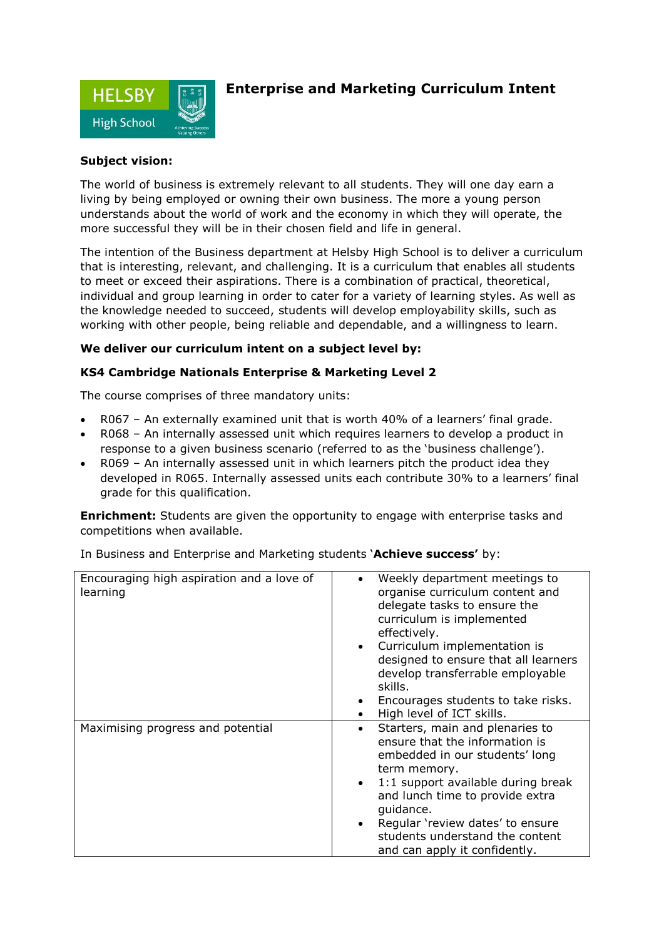

## **Enterprise and Marketing Curriculum Intent**

## **Subject vision:**

The world of business is extremely relevant to all students. They will one day earn a living by being employed or owning their own business. The more a young person understands about the world of work and the economy in which they will operate, the more successful they will be in their chosen field and life in general.

The intention of the Business department at Helsby High School is to deliver a curriculum that is interesting, relevant, and challenging. It is a curriculum that enables all students to meet or exceed their aspirations. There is a combination of practical, theoretical, individual and group learning in order to cater for a variety of learning styles. As well as the knowledge needed to succeed, students will develop employability skills, such as working with other people, being reliable and dependable, and a willingness to learn.

## **We deliver our curriculum intent on a subject level by:**

## **KS4 Cambridge Nationals Enterprise & Marketing Level 2**

The course comprises of three mandatory units:

- R067 An externally examined unit that is worth 40% of a learners' final grade.
- R068 An internally assessed unit which requires learners to develop a product in response to a given business scenario (referred to as the 'business challenge').
- R069 An internally assessed unit in which learners pitch the product idea they developed in R065. Internally assessed units each contribute 30% to a learners' final grade for this qualification.

**Enrichment:** Students are given the opportunity to engage with enterprise tasks and competitions when available.

|  |  | In Business and Enterprise and Marketing students 'Achieve success' by: |  |  |
|--|--|-------------------------------------------------------------------------|--|--|
|--|--|-------------------------------------------------------------------------|--|--|

| Encouraging high aspiration and a love of<br>learning | Weekly department meetings to<br>organise curriculum content and<br>delegate tasks to ensure the<br>curriculum is implemented<br>effectively.<br>Curriculum implementation is<br>$\bullet$<br>designed to ensure that all learners<br>develop transferrable employable<br>skills.<br>Encourages students to take risks.                                                               |
|-------------------------------------------------------|---------------------------------------------------------------------------------------------------------------------------------------------------------------------------------------------------------------------------------------------------------------------------------------------------------------------------------------------------------------------------------------|
| Maximising progress and potential                     | High level of ICT skills.<br>Starters, main and plenaries to<br>$\bullet$<br>ensure that the information is<br>embedded in our students' long<br>term memory.<br>1:1 support available during break<br>$\bullet$<br>and lunch time to provide extra<br>guidance.<br>Regular 'review dates' to ensure<br>$\bullet$<br>students understand the content<br>and can apply it confidently. |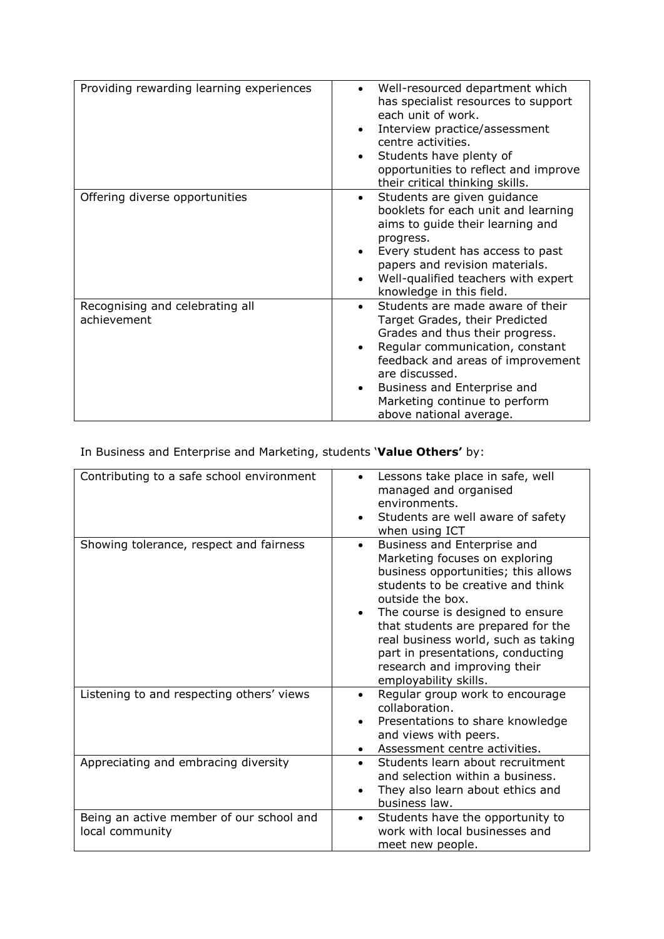| Providing rewarding learning experiences       | Well-resourced department which<br>$\bullet$<br>has specialist resources to support<br>each unit of work.<br>Interview practice/assessment<br>$\bullet$<br>centre activities.<br>Students have plenty of<br>$\bullet$<br>opportunities to reflect and improve<br>their critical thinking skills.                                  |
|------------------------------------------------|-----------------------------------------------------------------------------------------------------------------------------------------------------------------------------------------------------------------------------------------------------------------------------------------------------------------------------------|
| Offering diverse opportunities                 | Students are given guidance<br>$\bullet$<br>booklets for each unit and learning<br>aims to guide their learning and<br>progress.<br>Every student has access to past<br>papers and revision materials.<br>Well-qualified teachers with expert<br>$\bullet$<br>knowledge in this field.                                            |
| Recognising and celebrating all<br>achievement | Students are made aware of their<br>$\bullet$<br>Target Grades, their Predicted<br>Grades and thus their progress.<br>Regular communication, constant<br>$\bullet$<br>feedback and areas of improvement<br>are discussed.<br>Business and Enterprise and<br>$\bullet$<br>Marketing continue to perform<br>above national average. |

In Business and Enterprise and Marketing, students '**Value Others'** by:

| Contributing to a safe school environment                   | Lessons take place in safe, well<br>$\bullet$<br>managed and organised<br>environments.<br>Students are well aware of safety<br>when using ICT                                                                                                                                                                                                                                                         |
|-------------------------------------------------------------|--------------------------------------------------------------------------------------------------------------------------------------------------------------------------------------------------------------------------------------------------------------------------------------------------------------------------------------------------------------------------------------------------------|
| Showing tolerance, respect and fairness                     | Business and Enterprise and<br>$\bullet$<br>Marketing focuses on exploring<br>business opportunities; this allows<br>students to be creative and think<br>outside the box.<br>The course is designed to ensure<br>$\bullet$<br>that students are prepared for the<br>real business world, such as taking<br>part in presentations, conducting<br>research and improving their<br>employability skills. |
| Listening to and respecting others' views                   | Regular group work to encourage<br>$\bullet$<br>collaboration.<br>Presentations to share knowledge<br>$\bullet$<br>and views with peers.<br>Assessment centre activities.                                                                                                                                                                                                                              |
| Appreciating and embracing diversity                        | Students learn about recruitment<br>$\bullet$<br>and selection within a business.<br>They also learn about ethics and<br>business law.                                                                                                                                                                                                                                                                 |
| Being an active member of our school and<br>local community | Students have the opportunity to<br>$\bullet$<br>work with local businesses and<br>meet new people.                                                                                                                                                                                                                                                                                                    |